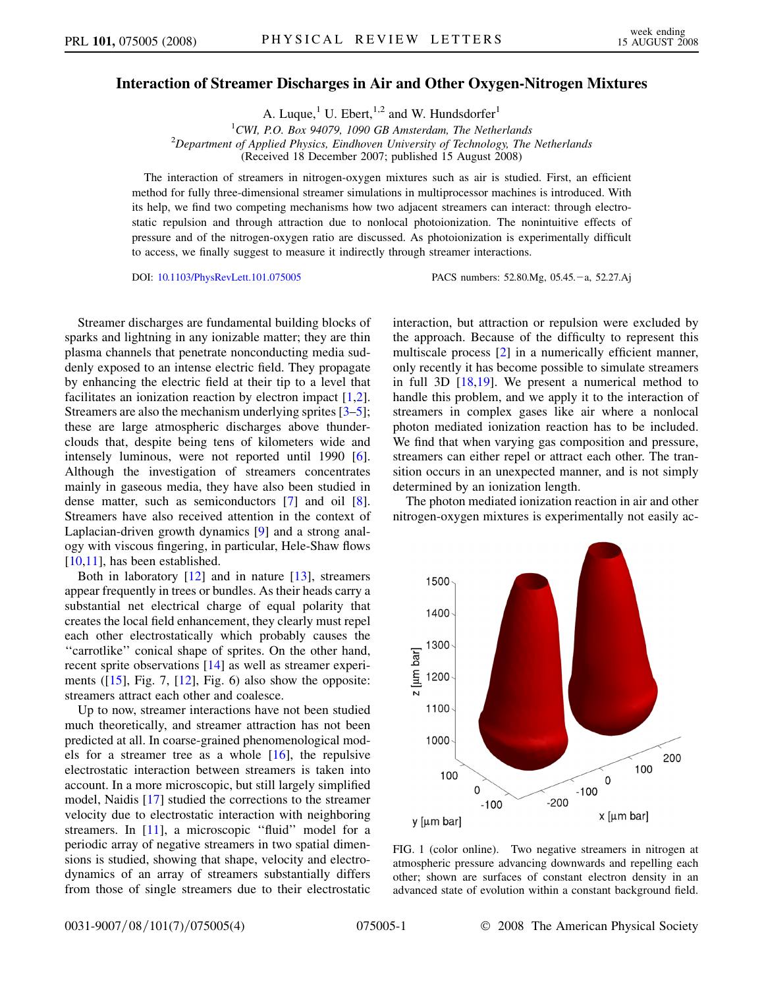## <span id="page-0-0"></span>Interaction of Streamer Discharges in Air and Other Oxygen-Nitrogen Mixtures

A. Luque,<sup>1</sup> U. Ebert,<sup>1,2</sup> and W. Hundsdorfer<sup>1</sup>

<sup>1</sup>CWI, P.O. Box 94079, 1090 GB Amsterdam, The Netherlands <sup>1</sup>CWI, P.O. Box 94079, 1090 GB Amsterdam, The Netherlands<br><sup>2</sup>Department of Applied Physics, Eindhoven University of Technology, The Netherlands (Received 18 December 2007; published 15 August 2008)

The interaction of streamers in nitrogen-oxygen mixtures such as air is studied. First, an efficient method for fully three-dimensional streamer simulations in multiprocessor machines is introduced. With its help, we find two competing mechanisms how two adjacent streamers can interact: through electrostatic repulsion and through attraction due to nonlocal photoionization. The nonintuitive effects of pressure and of the nitrogen-oxygen ratio are discussed. As photoionization is experimentally difficult to access, we finally suggest to measure it indirectly through streamer interactions.

DOI: [10.1103/PhysRevLett.101.075005](http://dx.doi.org/10.1103/PhysRevLett.101.075005) PACS numbers: 52.80.Mg, 05.45. - a, 52.27.Aj

Streamer discharges are fundamental building blocks of sparks and lightning in any ionizable matter; they are thin plasma channels that penetrate nonconducting media suddenly exposed to an intense electric field. They propagate by enhancing the electric field at their tip to a level that facilitates an ionization reaction by electron impact [1,2]. Streamers are also the mechanism underlying sprites [3–5]; these are large atmospheric discharges above thunderclouds that, despite being tens of kilometers wide and intensely luminous, were not reported until 1990 [6]. Although the investigation of streamers concentrates mainly in gaseous media, they have also been studied in dense matter, such as semiconductors [7] and oil [8]. Streamers have also received attention in the context of Laplacian-driven growth dynamics [9] and a strong analogy with viscous fingering, in particular, Hele-Shaw flows [10,11], has been established.

Both in laboratory  $[12]$  and in nature  $[13]$ , streamers appear frequently in trees or bundles. As their heads carry a substantial net electrical charge of equal polarity that creates the local field enhancement, they clearly must repel each other electrostatically which probably causes the "carrotlike" conical shape of sprites. On the other hand, recent sprite observations [14] as well as streamer experiments  $(15]$ , Fig. 7,  $[12]$ , Fig. 6) also show the opposite: streamers attract each other and coalesce.

Up to now, streamer interactions have not been studied much theoretically, and streamer attraction has not been predicted at all. In coarse-grained phenomenological models for a streamer tree as a whole [16], the repulsive electrostatic interaction between streamers is taken into account. In a more microscopic, but still largely simplified model, Naidis [17] studied the corrections to the streamer velocity due to electrostatic interaction with neighboring streamers. In [11], a microscopic "fluid" model for a periodic array of negative streamers in two spatial dimensions is studied, showing that shape, velocity and electrodynamics of an array of streamers substantially differs from those of single streamers due to their electrostatic interaction, but attraction or repulsion were excluded by the approach. Because of the difficulty to represent this multiscale process [2] in a numerically efficient manner, only recently it has become possible to simulate streamers in full 3D  $[18,19]$ . We present a numerical method to handle this problem, and we apply it to the interaction of streamers in complex gases like air where a nonlocal photon mediated ionization reaction has to be included. We find that when varying gas composition and pressure, streamers can either repel or attract each other. The transition occurs in an unexpected manner, and is not simply determined by an ionization length.

The photon mediated ionization reaction in air and other nitrogen-oxygen mixtures is experimentally not easily ac-



FIG. 1 (color online). Two negative streamers in nitrogen at atmospheric pressure advancing downwards and repelling each other; shown are surfaces of constant electron density in an advanced state of evolution within a constant background field.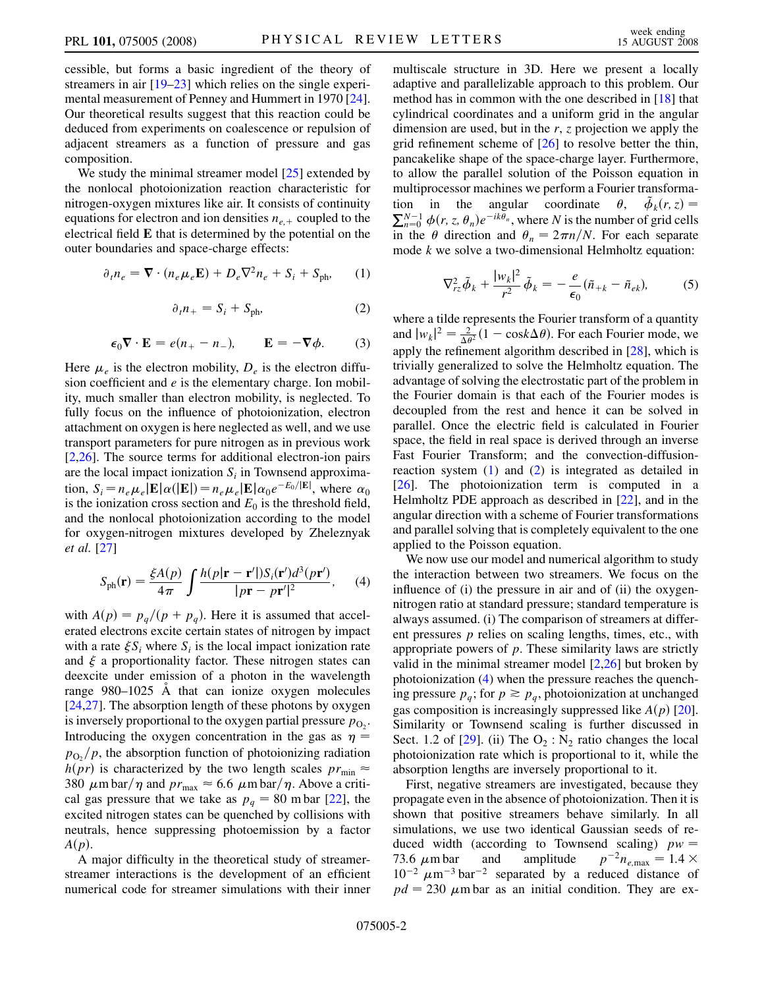cessible, but forms a basic ingredient of the theory of streamers in air [19–23] which relies on the single experimental measurement of Penney and Hummert in 1970 [24]. Our theoretical results suggest that this reaction could be deduced from experiments on coalescence or repulsion of adjacent streamers as a function of pressure and gas composition.

We study the minimal streamer model [25] extended by the nonlocal photoionization reaction characteristic for nitrogen-oxygen mixtures like air. It consists of continuity equations for electron and ion densities  $n_{e,+}$  coupled to the electrical field E that is determined by the potential on the outer boundaries and space-charge effects:

<span id="page-1-0"></span>
$$
\partial_t n_e = \nabla \cdot (n_e \mu_e \mathbf{E}) + D_e \nabla^2 n_e + S_i + S_{\text{ph}}.\tag{1}
$$

$$
\partial_t n_+ = S_i + S_{\text{ph}}.\tag{2}
$$

$$
\epsilon_0 \nabla \cdot \mathbf{E} = e(n_+ - n_-), \qquad \mathbf{E} = -\nabla \phi. \tag{3}
$$

Here  $\mu_e$  is the electron mobility,  $D_e$  is the electron diffusion coefficient and  $e$  is the elementary charge. Ion mobility, much smaller than electron mobility, is neglected. To fully focus on the influence of photoionization, electron attachment on oxygen is here neglected as well, and we use transport parameters for pure nitrogen as in previous work [2,26]. The source terms for additional electron-ion pairs are the local impact ionization  $S_i$  in Townsend approximation,  $S_i = n_e \mu_e \left[ \mathbf{E} | \alpha(|\mathbf{E}|) \right] = n_e \mu_e |\mathbf{E}| \alpha_0 e^{-E_0/|\mathbf{E}|}$ , where  $\alpha_0$ is the ionization cross section and  $E_0$  is the threshold field, and the nonlocal photoionization according to the model for oxygen-nitrogen mixtures developed by Zheleznyak et al. [27]

<span id="page-1-1"></span>
$$
S_{\text{ph}}(\mathbf{r}) = \frac{\xi A(p)}{4\pi} \int \frac{h(p|\mathbf{r} - \mathbf{r}'|)S_i(\mathbf{r}')d^3(p\mathbf{r}')}{|p\mathbf{r} - p\mathbf{r}'|^2}, \quad (4)
$$

with  $A(p) = p_q/(p + p_q)$ . Here it is assumed that accelerated electrons excite certain states of nitrogen by impact with a rate  $\xi S_i$ , where  $S_i$  is the local impact ionization rate and  $\xi$  a proportionality factor. These nitrogen states can deexcite under emission of a photon in the wavelength range  $980-1025$  Å that can ionize oxygen molecules [24,27]. The absorption length of these photons by oxygen is inversely proportional to the oxygen partial pressure  $p_{\text{O}_2}$ . Introducing the oxygen concentration in the gas as  $\eta$  =  $p_{\text{O}_2}/p$ , the absorption function of photoionizing radiation  $h(pr)$  is characterized by the two length scales  $pr_{min} \approx$ 380  $\mu$ m bar/ $\eta$  and  $pr_{\text{max}} \approx 6.6 \mu$ m bar/ $\eta$ . Above a critical gas pressure that we take as  $p_q = 80$  m bar [22], the excited nitrogen states can be quenched by collisions with neutrals, hence suppressing photoemission by a factor  $A(p)$ .

A major difficulty in the theoretical study of streamerstreamer interactions is the development of an efficient numerical code for streamer simulations with their inner multiscale structure in 3D. Here we present a locally adaptive and parallelizable approach to this problem. Our method has in common with the one described in [18] that cylindrical coordinates and a uniform grid in the angular dimension are used, but in the  $r$ ,  $z$  projection we apply the grid refinement scheme of [26] to resolve better the thin, pancakelike shape of the space-charge layer. Furthermore, to allow the parallel solution of the Poisson equation in multiprocessor machines we perform a Fourier transformation in the angular coordinate  $\theta$ ,  $\tilde{\phi}_k(r, z) =$  $\sum_{n=0}^{N-1} \phi(r, z, \theta_n) e^{-ik\theta_n}$ , where N is the number of grid cells in the  $\theta$  direction and  $\theta_n = 2\pi n/N$ . For each separate mode k we solve a two-dimensional Helmholtz equation:

$$
\nabla_{rz}^2 \tilde{\phi}_k + \frac{|w_k|^2}{r^2} \tilde{\phi}_k = -\frac{e}{\epsilon_0} (\tilde{n}_{+k} - \tilde{n}_{ek}), \tag{5}
$$

where a tilde represents the Fourier transform of a quantity and  $|w_k|^2 = \frac{2}{\Delta \theta^2} (1 - \cos k \Delta \theta)$ . For each Fourier mode, we apply the refinement algorithm described in [28], which is trivially generalized to solve the Helmholtz equation. The advantage of solving the electrostatic part of the problem in the Fourier domain is that each of the Fourier modes is decoupled from the rest and hence it can be solved in parallel. Once the electric field is calculated in Fourier space, the field in real space is derived through an inverse Fast Fourier Transform; and the convection-diffusionreaction system  $(1)$  and  $(2)$  $(2)$  is integrated as detailed in [26]. The photoionization term is computed in a Helmholtz PDE approach as described in [22], and in the angular direction with a scheme of Fourier transformations and parallel solving that is completely equivalent to the one applied to the Poisson equation.

We now use our model and numerical algorithm to study the interaction between two streamers. We focus on the influence of (i) the pressure in air and of (ii) the oxygennitrogen ratio at standard pressure; standard temperature is always assumed. (i) The comparison of streamers at different pressures  $p$  relies on scaling lengths, times, etc., with appropriate powers of  $p$ . These similarity laws are strictly valid in the minimal streamer model [2,26] but broken by photoionization ([4](#page-1-1)) when the pressure reaches the quenching pressure  $p_q$ ; for  $p \geq p_q$ , photoionization at unchanged gas composition is increasingly suppressed like  $A(p)$  [20]. Similarity or Townsend scaling is further discussed in Sect. 1.2 of [29]. (ii) The  $O_2$ : N<sub>2</sub> ratio changes the local photoionization rate which is proportional to it, while the absorption lengths are inversely proportional to it.

First, negative streamers are investigated, because they propagate even in the absence of photoionization. Then it is shown that positive streamers behave similarly. In all simulations, we use two identical Gaussian seeds of reduced width (according to Townsend scaling)  $pw = 73.6 \ \mu \text{m}$  bar and amplitude  $p^{-2}n_{e \text{max}} = 1.4 \times$  $p^{-2}n_{e,\text{max}} = 1.4 \times$  $10^{-2} \mu m^{-3}$  bar<sup>-2</sup> separated by a reduced distance of  $pd = 230 \mu m$  bar as an initial condition. They are ex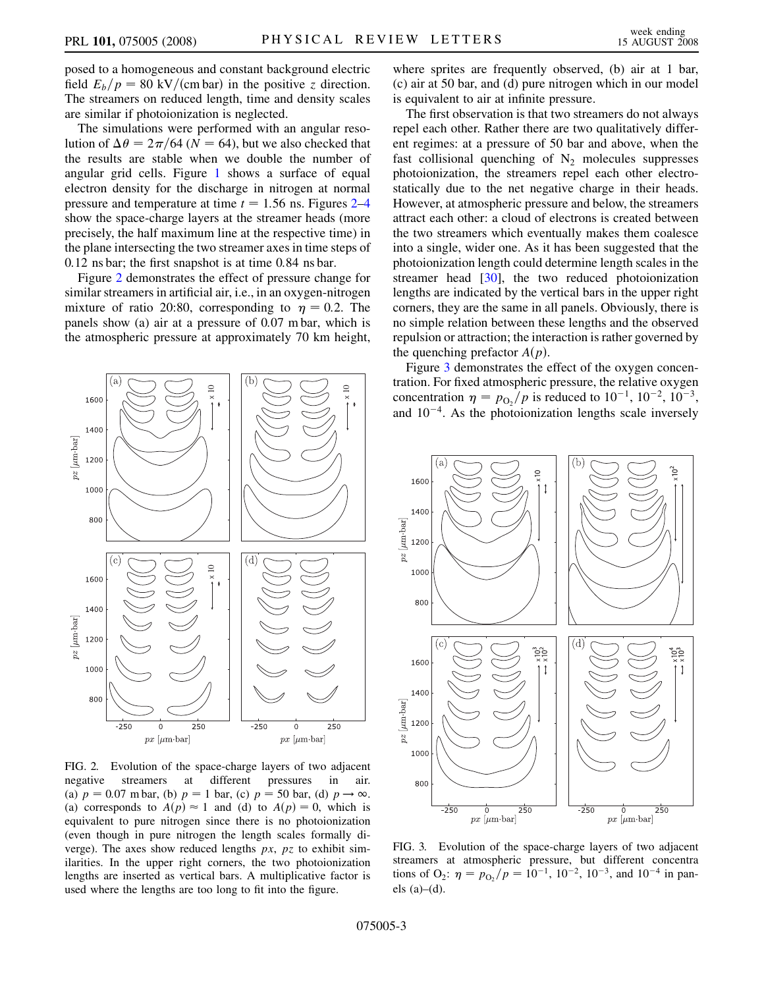posed to a homogeneous and constant background electric field  $E_b/p = 80 \text{ kV}/(\text{cm bar})$  in the positive z direction. The streamers on reduced length, time and density scales are similar if photoionization is neglected.

The simulations were performed with an angular resolution of  $\Delta \theta = 2\pi/64$  (N = 64), but we also checked that the results are stable when we double the number of angular grid cells. Figure [1](#page-0-0) shows a surface of equal electron density for the discharge in nitrogen at normal pressure and temperature at time  $t = 1.56$  ns. Figures  $2-4$  $2-4$ show the space-charge layers at the streamer heads (more precisely, the half maximum line at the respective time) in the plane intersecting the two streamer axes in time steps of 0:12 ns bar; the first snapshot is at time 0:84 ns bar.

Figure 2 demonstrates the effect of pressure change for similar streamers in artificial air, i.e., in an oxygen-nitrogen mixture of ratio 20:80, corresponding to  $\eta = 0.2$ . The panels show (a) air at a pressure of 0:07 m bar, which is the atmospheric pressure at approximately 70 km height,



FIG. 2. Evolution of the space-charge layers of two adjacent negative streamers at different pressures in air. (a)  $p = 0.07$  m bar, (b)  $p = 1$  bar, (c)  $p = 50$  bar, (d)  $p \rightarrow \infty$ . (a) corresponds to  $A(p) \approx 1$  and (d) to  $A(p) = 0$ , which is equivalent to pure nitrogen since there is no photoionization (even though in pure nitrogen the length scales formally diverge). The axes show reduced lengths  $px$ ,  $pz$  to exhibit similarities. In the upper right corners, the two photoionization lengths are inserted as vertical bars. A multiplicative factor is used where the lengths are too long to fit into the figure.

where sprites are frequently observed, (b) air at 1 bar, (c) air at 50 bar, and (d) pure nitrogen which in our model is equivalent to air at infinite pressure.

The first observation is that two streamers do not always repel each other. Rather there are two qualitatively different regimes: at a pressure of 50 bar and above, when the fast collisional quenching of  $N_2$  molecules suppresses photoionization, the streamers repel each other electrostatically due to the net negative charge in their heads. However, at atmospheric pressure and below, the streamers attract each other: a cloud of electrons is created between the two streamers which eventually makes them coalesce into a single, wider one. As it has been suggested that the photoionization length could determine length scales in the streamer head [30], the two reduced photoionization lengths are indicated by the vertical bars in the upper right corners, they are the same in all panels. Obviously, there is no simple relation between these lengths and the observed repulsion or attraction; the interaction is rather governed by the quenching prefactor  $A(p)$ .

Figure 3 demonstrates the effect of the oxygen concentration. For fixed atmospheric pressure, the relative oxygen concentration  $\eta = p_{\text{O}_2}/p$  is reduced to  $10^{-1}$ ,  $10^{-2}$ ,  $10^{-3}$ , and  $10^{-4}$ . As the photoionization lengths scale inversely



FIG. 3. Evolution of the space-charge layers of two adjacent streamers at atmospheric pressure, but different concentra tions of O<sub>2</sub>:  $\eta = p_{0}$  / $p = 10^{-1}$ , 10<sup>-2</sup>, 10<sup>-3</sup>, and 10<sup>-4</sup> in panels  $(a)–(d)$ .